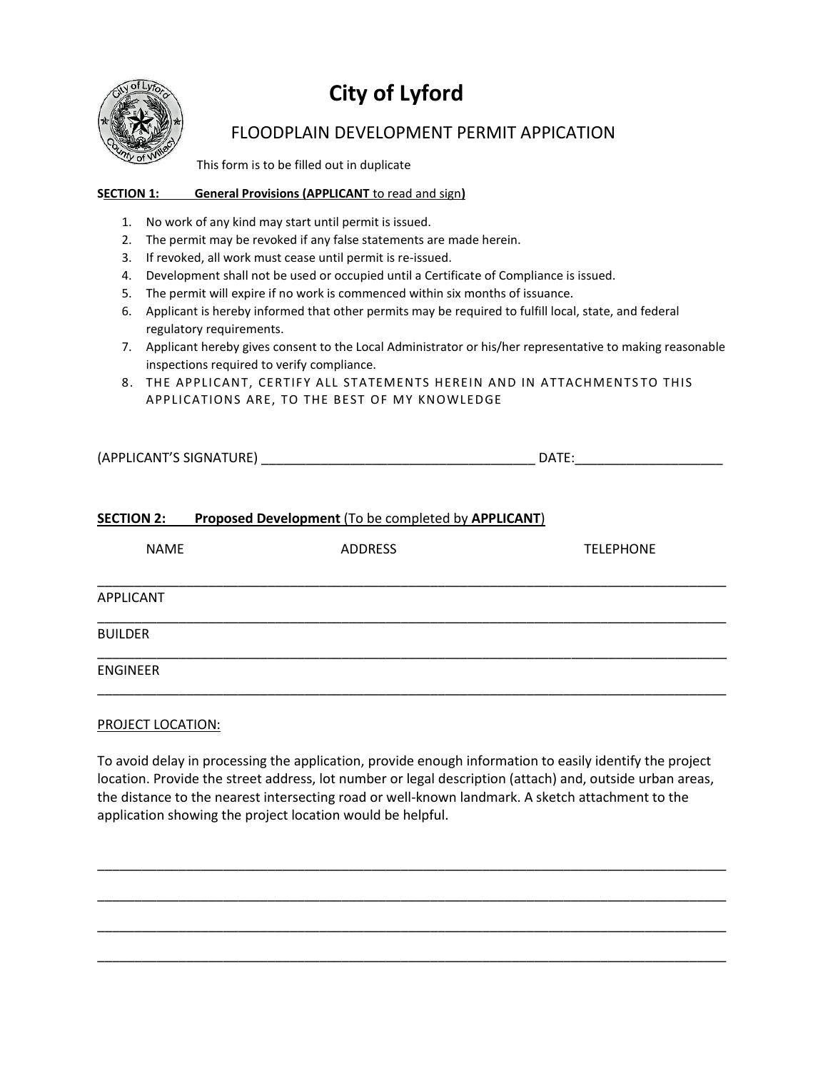

# **City of Lyford**

### FLOODPLAIN DEVELOPMENT PERMIT APPICATION

This form is to be filled out in duplicate

### **SECTION 1: General Provisions (APPLICANT** to read and sign**)**

- 1. No work of any kind may start until permit is issued.
- 2. The permit may be revoked if any false statements are made herein.
- 3. If revoked, all work must cease until permit is re-issued.
- 4. Development shall not be used or occupied until a Certificate of Compliance is issued.
- 5. The permit will expire if no work is commenced within six months of issuance.
- 6. Applicant is hereby informed that other permits may be required to fulfill local, state, and federal regulatory requirements.
- 7. Applicant hereby gives consent to the Local Administrator or his/her representative to making reasonable inspections required to verify compliance.
- 8. THE APPLICANT, CERTIFY ALL STATEMENTS HEREIN AND IN ATTACHMENTSTO THIS APPLICATIONS ARE, TO THE BEST OF MY KNOWLEDGE

| (APPLICANT'S SIGNATURE) | $\mathsf{D}\mathsf{A}^{\mathsf{T}}$ |
|-------------------------|-------------------------------------|
|                         |                                     |

### **SECTION 2: Proposed Development** (To be completed by **APPLICANT**)

| <b>NAME</b>     | <b>ADDRESS</b> | <b>TELEPHONE</b> |
|-----------------|----------------|------------------|
| APPLICANT       |                |                  |
| <b>BUILDER</b>  |                |                  |
| <b>ENGINEER</b> |                |                  |

### PROJECT LOCATION:

To avoid delay in processing the application, provide enough information to easily identify the project location. Provide the street address, lot number or legal description (attach) and, outside urban areas, the distance to the nearest intersecting road or well-known landmark. A sketch attachment to the application showing the project location would be helpful.

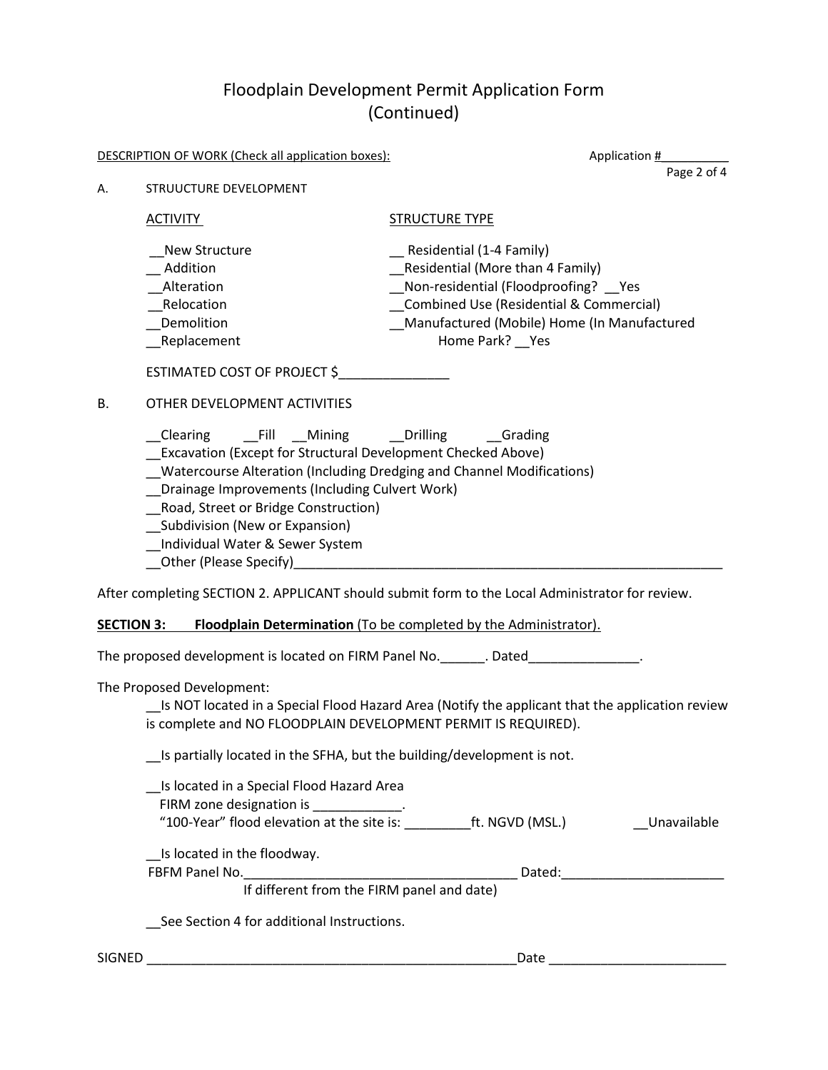## Floodplain Development Permit Application Form (Continued)

|    | <b>DESCRIPTION OF WORK (Check all application boxes):</b>                                                                                                                                                                                                                                                                                            | Application #                                                                                   |
|----|------------------------------------------------------------------------------------------------------------------------------------------------------------------------------------------------------------------------------------------------------------------------------------------------------------------------------------------------------|-------------------------------------------------------------------------------------------------|
| А. | STRUUCTURE DEVELOPMENT                                                                                                                                                                                                                                                                                                                               | Page 2 of 4                                                                                     |
|    | <b>ACTIVITY</b>                                                                                                                                                                                                                                                                                                                                      | <b>STRUCTURE TYPE</b>                                                                           |
|    | <b>New Structure</b>                                                                                                                                                                                                                                                                                                                                 | Residential (1-4 Family)                                                                        |
|    | Addition                                                                                                                                                                                                                                                                                                                                             | Residential (More than 4 Family)                                                                |
|    | Alteration                                                                                                                                                                                                                                                                                                                                           | Non-residential (Floodproofing?  Yes                                                            |
|    | Relocation                                                                                                                                                                                                                                                                                                                                           | Combined Use (Residential & Commercial)                                                         |
|    | Demolition                                                                                                                                                                                                                                                                                                                                           | Manufactured (Mobile) Home (In Manufactured                                                     |
|    | _Replacement                                                                                                                                                                                                                                                                                                                                         | Home Park? __ Yes                                                                               |
|    | ESTIMATED COST OF PROJECT \$                                                                                                                                                                                                                                                                                                                         |                                                                                                 |
| В. | OTHER DEVELOPMENT ACTIVITIES                                                                                                                                                                                                                                                                                                                         |                                                                                                 |
|    | Clearing Fill Mining Drilling Grading<br>__ Excavation (Except for Structural Development Checked Above)<br>Watercourse Alteration (Including Dredging and Channel Modifications)<br>Drainage Improvements (Including Culvert Work)<br>_Road, Street or Bridge Construction)<br>__ Subdivision (New or Expansion)<br>Individual Water & Sewer System |                                                                                                 |
|    |                                                                                                                                                                                                                                                                                                                                                      | After completing SECTION 2. APPLICANT should submit form to the Local Administrator for review. |
|    | <b>SECTION 3:</b>                                                                                                                                                                                                                                                                                                                                    | Floodplain Determination (To be completed by the Administrator).                                |
|    |                                                                                                                                                                                                                                                                                                                                                      | The proposed development is located on FIRM Panel No. _______. Dated________________.           |
|    | The Proposed Development:                                                                                                                                                                                                                                                                                                                            |                                                                                                 |
|    |                                                                                                                                                                                                                                                                                                                                                      | Is NOT located in a Special Flood Hazard Area (Notify the applicant that the application review |
|    | is complete and NO FLOODPLAIN DEVELOPMENT PERMIT IS REQUIRED).                                                                                                                                                                                                                                                                                       |                                                                                                 |
|    | Is partially located in the SFHA, but the building/development is not.                                                                                                                                                                                                                                                                               |                                                                                                 |
|    | Is located in a Special Flood Hazard Area                                                                                                                                                                                                                                                                                                            |                                                                                                 |
|    | FIRM zone designation is ____________.                                                                                                                                                                                                                                                                                                               |                                                                                                 |
|    |                                                                                                                                                                                                                                                                                                                                                      | Unavailable                                                                                     |
|    | Is located in the floodway.                                                                                                                                                                                                                                                                                                                          |                                                                                                 |
|    | FBFM Panel No. <b>Example 20</b> Separate Security 20 Separate Security 20 Separate Security 20 Separate Security 20 Separate Security 20 Separate Security 20 Separate Security 20 Separate Security 20 Separate Security 20 Separ                                                                                                                  | Dated:                                                                                          |

If different from the FIRM panel and date)

\_\_See Section 4 for additional Instructions.

SIGNED \_\_\_\_\_\_\_\_\_\_\_\_\_\_\_\_\_\_\_\_\_\_\_\_\_\_\_\_\_\_\_\_\_\_\_\_\_\_\_\_\_\_\_\_\_\_\_\_\_\_Date \_\_\_\_\_\_\_\_\_\_\_\_\_\_\_\_\_\_\_\_\_\_\_\_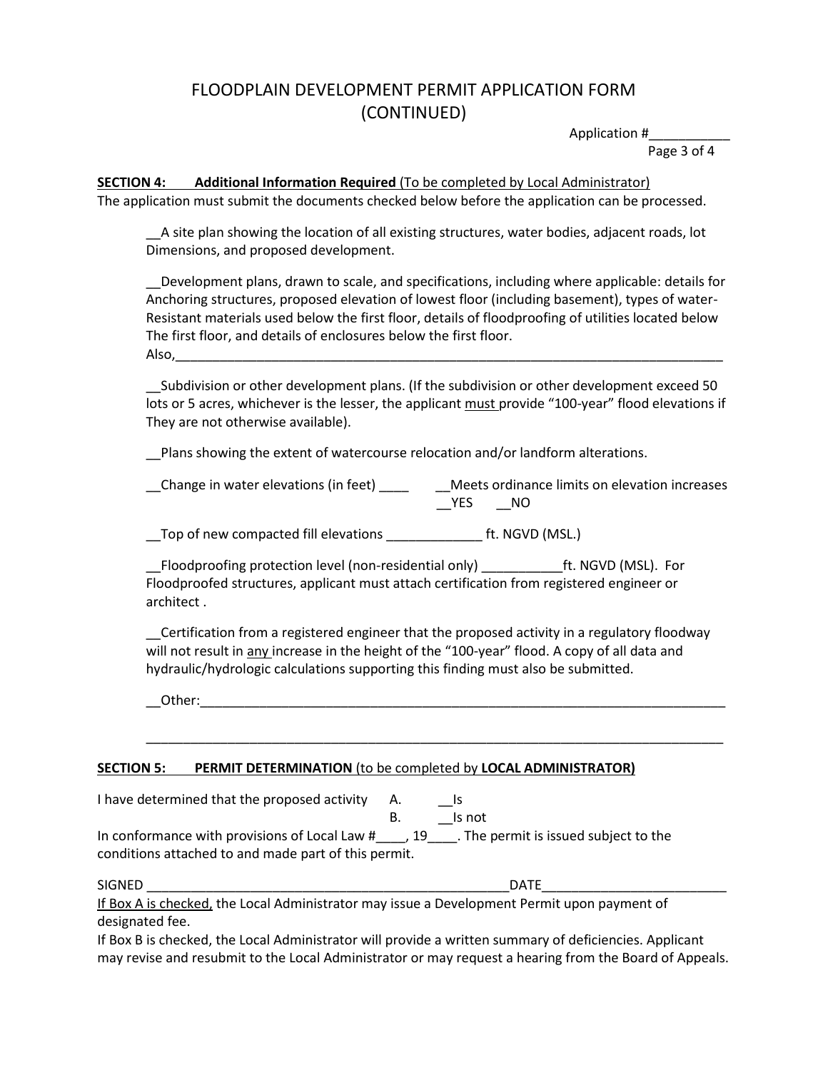### FLOODPLAIN DEVELOPMENT PERMIT APPLICATION FORM (CONTINUED)

Application #\_\_\_\_\_\_\_\_\_\_\_

Page 3 of 4

**SECTION 4: Additional Information Required** (To be completed by Local Administrator) The application must submit the documents checked below before the application can be processed.

\_\_A site plan showing the location of all existing structures, water bodies, adjacent roads, lot Dimensions, and proposed development.

\_\_Development plans, drawn to scale, and specifications, including where applicable: details for Anchoring structures, proposed elevation of lowest floor (including basement), types of water-Resistant materials used below the first floor, details of floodproofing of utilities located below The first floor, and details of enclosures below the first floor. Also,\_\_\_\_\_\_\_\_\_\_\_\_\_\_\_\_\_\_\_\_\_\_\_\_\_\_\_\_\_\_\_\_\_\_\_\_\_\_\_\_\_\_\_\_\_\_\_\_\_\_\_\_\_\_\_\_\_\_\_\_\_\_\_\_\_\_\_\_\_\_\_\_\_\_

\_\_Subdivision or other development plans. (If the subdivision or other development exceed 50 lots or 5 acres, whichever is the lesser, the applicant must provide "100-year" flood elevations if They are not otherwise available).

\_\_Plans showing the extent of watercourse relocation and/or landform alterations.

\_\_Change in water elevations (in feet) \_\_\_\_ \_\_Meets ordinance limits on elevation increases  $YES$   $NO$ 

\_\_Top of new compacted fill elevations \_\_\_\_\_\_\_\_\_\_\_\_\_ ft. NGVD (MSL.)

\_Floodproofing protection level (non-residential only) \_\_\_\_\_\_\_\_\_\_\_\_ft. NGVD (MSL). For Floodproofed structures, applicant must attach certification from registered engineer or architect .

\_\_Certification from a registered engineer that the proposed activity in a regulatory floodway will not result in any increase in the height of the "100-year" flood. A copy of all data and hydraulic/hydrologic calculations supporting this finding must also be submitted.

\_\_\_\_\_\_\_\_\_\_\_\_\_\_\_\_\_\_\_\_\_\_\_\_\_\_\_\_\_\_\_\_\_\_\_\_\_\_\_\_\_\_\_\_\_\_\_\_\_\_\_\_\_\_\_\_\_\_\_\_\_\_\_\_\_\_\_\_\_\_\_\_\_\_\_\_\_\_

\_\_Other:\_\_\_\_\_\_\_\_\_\_\_\_\_\_\_\_\_\_\_\_\_\_\_\_\_\_\_\_\_\_\_\_\_\_\_\_\_\_\_\_\_\_\_\_\_\_\_\_\_\_\_\_\_\_\_\_\_\_\_\_\_\_\_\_\_\_\_\_\_\_\_

### **SECTION 5: PERMIT DETERMINATION** (to be completed by **LOCAL ADMINISTRATOR)**

| I have determined that the proposed activity                                                                  | А. | Is not                                |
|---------------------------------------------------------------------------------------------------------------|----|---------------------------------------|
| In conformance with provisions of Local Law $\#$ , 19<br>conditions attached to and made part of this permit. |    | . The permit is issued subject to the |

SIGNED \_\_\_\_\_\_\_\_\_\_\_\_\_\_\_\_\_\_\_\_\_\_\_\_\_\_\_\_\_\_\_\_\_\_\_\_\_\_\_\_\_\_\_\_\_\_\_\_\_DATE\_\_\_\_\_\_\_\_\_\_\_\_\_\_\_\_\_\_\_\_\_\_\_\_\_

If Box A is checked, the Local Administrator may issue a Development Permit upon payment of designated fee.

If Box B is checked, the Local Administrator will provide a written summary of deficiencies. Applicant may revise and resubmit to the Local Administrator or may request a hearing from the Board of Appeals.